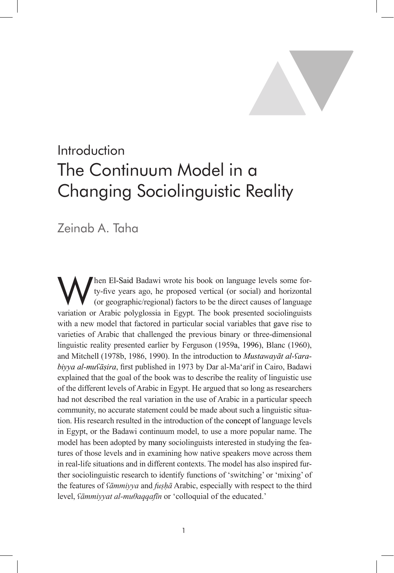

# Introduction The Continuum Model in a Changing Sociolinguistic Reality

Zeinab A. Taha

When El-Said Badawi wrote his book on language levels some for-<br>ty-five years ago, he proposed vertical (or social) and horizontal<br>(or geographic/regional) factors to be the direct causes of language ty-five years ago, he proposed vertical (or social) and horizontal (or geographic/regional) factors to be the direct causes of language variation or Arabic polyglossia in Egypt. The book presented sociolinguists with a new model that factored in particular social variables that gave rise to varieties of Arabic that challenged the previous binary or three-dimensional linguistic reality presented earlier by Ferguson (1959a, 1996), Blanc (1960), and Mitchell (1978b, 1986, 1990). In the introduction to *Mustawayāt al-ʕarabiyya al-muʕāṣira*, first published in 1973 by Dar al-Ma'arif in Cairo, Badawi explained that the goal of the book was to describe the reality of linguistic use of the different levels of Arabic in Egypt. He argued that so long as researchers had not described the real variation in the use of Arabic in a particular speech community, no accurate statement could be made about such a linguistic situation. His research resulted in the introduction of the concept of language levels in Egypt, or the Badawi continuum model, to use a more popular name. The model has been adopted by many sociolinguists interested in studying the features of those levels and in examining how native speakers move across them in real-life situations and in different contexts. The model has also inspired further sociolinguistic research to identify functions of 'switching' or 'mixing' of the features of *ʕāmmiyya* and *fuṣḥā* Arabic, especially with respect to the third level, *ʕāmmiyyat al-muθaqqafīn* or 'colloquial of the educated.'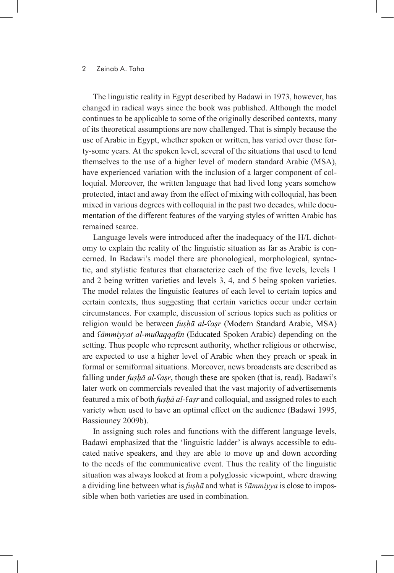#### 2 Zeinab A. Taha Introduction: The Continuum Model in a Changing Sociolinguistic Reality 3

The linguistic reality in Egypt described by Badawi in 1973, however, has changed in radical ways since the book was published. Although the model continues to be applicable to some of the originally described contexts, many of its theoretical assumptions are now challenged. That is simply because the use of Arabic in Egypt, whether spoken or written, has varied over those forty-some years. At the spoken level, several of the situations that used to lend themselves to the use of a higher level of modern standard Arabic (MSA), have experienced variation with the inclusion of a larger component of colloquial. Moreover, the written language that had lived long years somehow protected, intact and away from the effect of mixing with colloquial, has been mixed in various degrees with colloquial in the past two decades, while documentation of the different features of the varying styles of written Arabic has remained scarce.

Language levels were introduced after the inadequacy of the H/L dichotomy to explain the reality of the linguistic situation as far as Arabic is concerned. In Badawi's model there are phonological, morphological, syntactic, and stylistic features that characterize each of the five levels, levels 1 and 2 being written varieties and levels 3, 4, and 5 being spoken varieties. The model relates the linguistic features of each level to certain topics and certain contexts, thus suggesting that certain varieties occur under certain circumstances. For example, discussion of serious topics such as politics or religion would be between *fuṣḥā al-ʕaṣr* (Modern Standard Arabic, MSA) and *ʕāmmiyyat al-muθaqqafīn* (Educated Spoken Arabic) depending on the setting. Thus people who represent authority, whether religious or otherwise, are expected to use a higher level of Arabic when they preach or speak in formal or semiformal situations. Moreover, news broadcasts are described as falling under *fushā al-fasr*, though these are spoken (that is, read). Badawi's later work on commercials revealed that the vast majority of advertisements featured a mix of both *fuṣḥā al-ʕaṣr* and colloquial, and assigned roles to each variety when used to have an optimal effect on the audience (Badawi 1995, Bassiouney 2009b).

In assigning such roles and functions with the different language levels, Badawi emphasized that the 'linguistic ladder' is always accessible to educated native speakers, and they are able to move up and down according to the needs of the communicative event. Thus the reality of the linguistic situation was always looked at from a polyglossic viewpoint, where drawing a dividing line between what is *fuṣḥā* and what is *ʕāmmiyya* is close to impossible when both varieties are used in combination.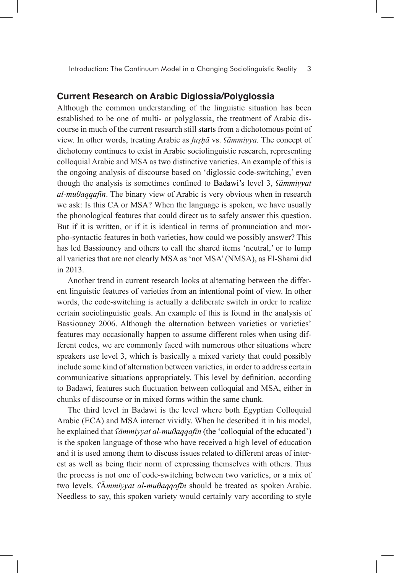#### **Current Research on Arabic Diglossia/Polyglossia**

Although the common understanding of the linguistic situation has been established to be one of multi- or polyglossia, the treatment of Arabic discourse in much of the current research still starts from a dichotomous point of view. In other words, treating Arabic as *fuṣḥā* vs. *ʕāmmiyya.* The concept of dichotomy continues to exist in Arabic sociolinguistic research, representing colloquial Arabic and MSA as two distinctive varieties. An example of this is the ongoing analysis of discourse based on 'diglossic code-switching,' even though the analysis is sometimes confined to Badawi's level 3, *ʕāmmiyyat al-muθaqqafīn*. The binary view of Arabic is very obvious when in research we ask: Is this CA or MSA? When the language is spoken, we have usually the phonological features that could direct us to safely answer this question. But if it is written, or if it is identical in terms of pronunciation and morpho-syntactic features in both varieties, how could we possibly answer? This has led Bassiouney and others to call the shared items 'neutral,' or to lump all varieties that are not clearly MSA as 'not MSA' (NMSA), as El-Shami did in 2013.

Another trend in current research looks at alternating between the different linguistic features of varieties from an intentional point of view. In other words, the code-switching is actually a deliberate switch in order to realize certain sociolinguistic goals. An example of this is found in the analysis of Bassiouney 2006. Although the alternation between varieties or varieties' features may occasionally happen to assume different roles when using different codes, we are commonly faced with numerous other situations where speakers use level 3, which is basically a mixed variety that could possibly include some kind of alternation between varieties, in order to address certain communicative situations appropriately. This level by definition, according to Badawi, features such fluctuation between colloquial and MSA, either in chunks of discourse or in mixed forms within the same chunk.

The third level in Badawi is the level where both Egyptian Colloquial Arabic (ECA) and MSA interact vividly. When he described it in his model, he explained that *ʕāmmiyyat al-muθaqqafīn* (the 'colloquial of the educated') is the spoken language of those who have received a high level of education and it is used among them to discuss issues related to different areas of interest as well as being their norm of expressing themselves with others. Thus the process is not one of code-switching between two varieties, or a mix of two levels. *ʕ*Ā*mmiyyat al-muθaqqafīn* should be treated as spoken Arabic. Needless to say, this spoken variety would certainly vary according to style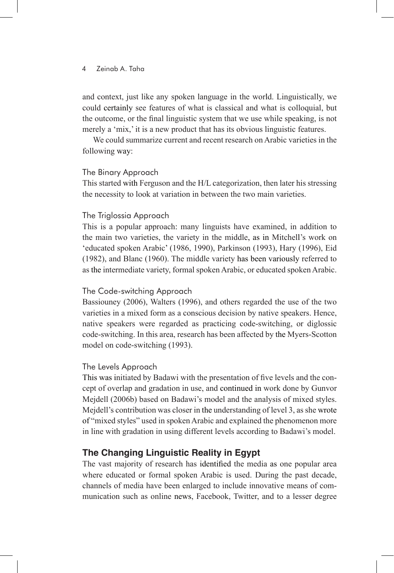#### 4 Zeinab A. Taha

and context, just like any spoken language in the world. Linguistically, we could certainly see features of what is classical and what is colloquial, but the outcome, or the final linguistic system that we use while speaking, is not merely a 'mix,' it is a new product that has its obvious linguistic features.

We could summarize current and recent research on Arabic varieties in the following way:

#### The Binary Approach

This started with Ferguson and the H/L categorization, then later his stressing the necessity to look at variation in between the two main varieties.

# The Triglossia Approach

This is a popular approach: many linguists have examined, in addition to the main two varieties, the variety in the middle, as in Mitchell's work on 'educated spoken Arabic' (1986, 1990), Parkinson (1993), Hary (1996), Eid (1982), and Blanc (1960). The middle variety has been variously referred to as the intermediate variety, formal spoken Arabic, or educated spoken Arabic.

#### The Code-switching Approach

Bassiouney (2006), Walters (1996), and others regarded the use of the two varieties in a mixed form as a conscious decision by native speakers. Hence, native speakers were regarded as practicing code-switching, or diglossic code-switching. In this area, research has been affected by the Myers-Scotton model on code-switching (1993).

# The Levels Approach

This was initiated by Badawi with the presentation of five levels and the concept of overlap and gradation in use, and continued in work done by Gunvor Mejdell (2006b) based on Badawi's model and the analysis of mixed styles. Mejdell's contribution was closer in the understanding of level 3, as she wrote of "mixed styles" used in spoken Arabic and explained the phenomenon more in line with gradation in using different levels according to Badawi's model.

# **The Changing Linguistic Reality in Egypt**

The vast majority of research has identified the media as one popular area where educated or formal spoken Arabic is used. During the past decade, channels of media have been enlarged to include innovative means of communication such as online news, Facebook, Twitter, and to a lesser degree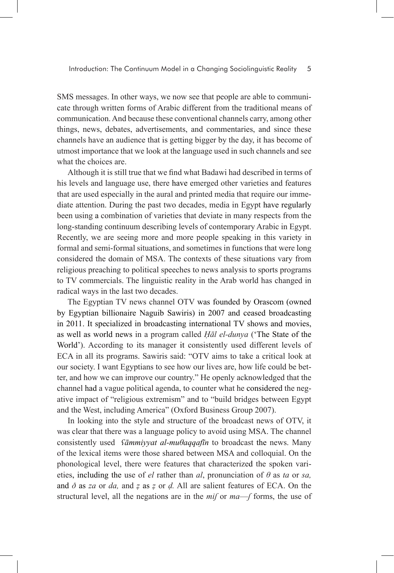SMS messages. In other ways, we now see that people are able to communicate through written forms of Arabic different from the traditional means of communication. And because these conventional channels carry, among other things, news, debates, advertisements, and commentaries, and since these channels have an audience that is getting bigger by the day, it has become of utmost importance that we look at the language used in such channels and see what the choices are.

Although it is still true that we find what Badawi had described in terms of his levels and language use, there have emerged other varieties and features that are used especially in the aural and printed media that require our immediate attention. During the past two decades, media in Egypt have regularly been using a combination of varieties that deviate in many respects from the long-standing continuum describing levels of contemporary Arabic in Egypt. Recently, we are seeing more and more people speaking in this variety in formal and semi-formal situations, and sometimes in functions that were long considered the domain of MSA. The contexts of these situations vary from religious preaching to political speeches to news analysis to sports programs to TV commercials. The linguistic reality in the Arab world has changed in radical ways in the last two decades.

The Egyptian TV news channel OTV was founded by Orascom (owned by Egyptian billionaire Naguib Sawiris) in 2007 and ceased broadcasting in 2011. It specialized in broadcasting international TV shows and movies, as well as world news in a program called *Ḥāl el-dunya* ('The State of the World'). According to its manager it consistently used different levels of ECA in all its programs. Sawiris said: "OTV aims to take a critical look at our society. I want Egyptians to see how our lives are, how life could be better, and how we can improve our country." He openly acknowledged that the channel had a vague political agenda, to counter what he considered the negative impact of "religious extremism" and to "build bridges between Egypt and the West, including America" (Oxford Business Group 2007).

In looking into the style and structure of the broadcast news of OTV, it was clear that there was a language policy to avoid using MSA. The channel consistently used *ʕāmmiyyat al-muθaqqafīn* to broadcast the news. Many of the lexical items were those shared between MSA and colloquial. On the phonological level, there were features that characterized the spoken varieties, including the use of *el* rather than *al*, pronunciation of *θ* as *ta* or *sa,* and *ð* as *za* or *da,* and *ẓ* as *ẓ* or *ḍ.* All are salient features of ECA. On the structural level, all the negations are in the *miʃ* or *ma*—*ʃ* forms, the use of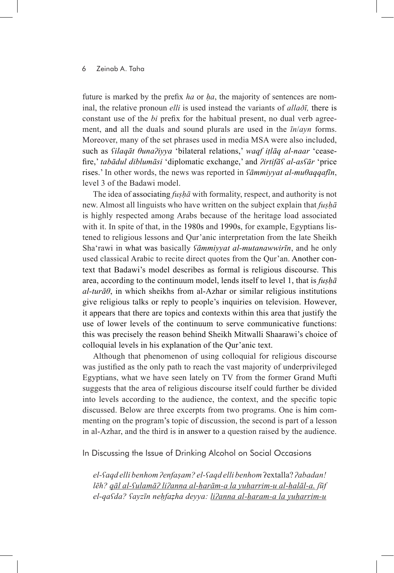#### 6 Zeinab A. Taha

future is marked by the prefix *ha* or *ha*, the majority of sentences are nominal, the relative pronoun *elli* is used instead the variants of *allaðī,* there is constant use of the *bi* prefix for the habitual present, no dual verb agreement, and all the duals and sound plurals are used in the *īn*/*ayn* forms. Moreover, many of the set phrases used in media MSA were also included, such as *ʕilaqāt θunaʔiyya* 'bilateral relations,' *waqf iṭlāq al-naar* 'ceasefire,' *tabādul diblumāsi* 'diplomatic exchange,' and *ʔirtifāʕ al-asʕār* 'price rises.' In other words, the news was reported in *ʕāmmiyyat al-muθaqqafīn*, level 3 of the Badawi model.

The idea of associating *fuṣḥā* with formality, respect, and authority is not new. Almost all linguists who have written on the subject explain that *fuṣḥā* is highly respected among Arabs because of the heritage load associated with it. In spite of that, in the 1980s and 1990s, for example, Egyptians listened to religious lessons and Qur'anic interpretation from the late Sheikh Sha'rawi in what was basically *ʕāmmiyyat al-mutanawwirīn*, and he only used classical Arabic to recite direct quotes from the Qur'an. Another context that Badawi's model describes as formal is religious discourse. This area, according to the continuum model, lends itself to level 1, that is *fuṣḥā al-turāθ*, in which sheikhs from al-Azhar or similar religious institutions give religious talks or reply to people's inquiries on television. However, it appears that there are topics and contexts within this area that justify the use of lower levels of the continuum to serve communicative functions: this was precisely the reason behind Sheikh Mitwalli Shaarawi's choice of colloquial levels in his explanation of the Qur'anic text.

Although that phenomenon of using colloquial for religious discourse was justified as the only path to reach the vast majority of underprivileged Egyptians, what we have seen lately on TV from the former Grand Mufti suggests that the area of religious discourse itself could further be divided into levels according to the audience, the context, and the specific topic discussed. Below are three excerpts from two programs. One is him commenting on the program's topic of discussion, the second is part of a lesson in al-Azhar, and the third is in answer to a question raised by the audience.

In Discussing the Issue of Drinking Alcohol on Social Occasions

*el-ʕaqd elli benhom ʔenfaṣam? el-ʕaqd elli benhom* ʔextalla? *ʔabadan! lēh? qāl al-ʕulamāʔ liʔanna al-ḥarām-a la yuḥarrim-u al-ḥalāl-a. ʃūf el-qaʕda? ʕayzīn neḥfaẓha deyya: liʔanna al-ḥaram-a la yuḥarrim-u*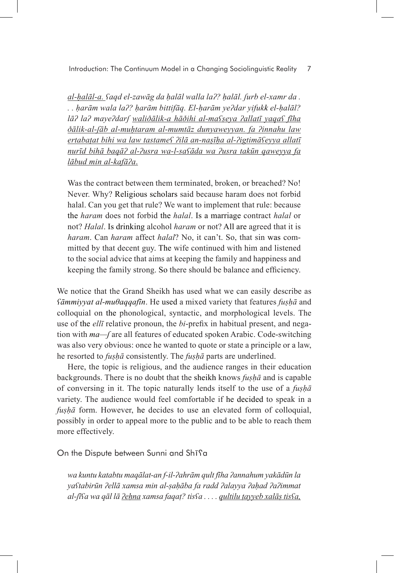Introduction: The Continuum Model in a Changing Sociolinguistic Reality 7

*al-ḥalāl-a. ʕaqd el-zawāg da ḥalāl walla laʔ? ḥalāl. ʃurb el-xamr da . . . ḥarām wala laʔ? ḥarām bittifāq. El-ḥarām yeʔdar yifukk el-ḥalāl? lāʔ laʔ mayeʔdarʃ waliðālik-a hāðihi al-maʕṣeya ʔallatī yaqaʕ fīha ðālik-al-ʃāb al-muḥtaram al-mumtāz dunyaweyyan. fa ʔinnahu law ertabaṭat bihi wa law tastameʕ ʔilā an-naṣīḥa al-ʔigtimāʕeyya allatī nurīd bihā baqāʔ al-ʔusra wa-l-saʕāda wa ʔusra takūn qaweyya fa lābud min al-kafāʔa*.

Was the contract between them terminated, broken, or breached? No! Never. Why? Religious scholars said because haram does not forbid halal. Can you get that rule? We want to implement that rule: because the *haram* does not forbid the *halal*. Is a marriage contract *halal* or not? *Halal*. Is drinking alcohol *haram* or not? All are agreed that it is *haram*. Can *haram* affect *halal*? No, it can't. So, that sin was committed by that decent guy. The wife continued with him and listened to the social advice that aims at keeping the family and happiness and keeping the family strong. So there should be balance and efficiency.

We notice that the Grand Sheikh has used what we can easily describe as *ʕāmmiyyat al-muθaqqafīn*. He used a mixed variety that features *fuṣḥā* and colloquial on the phonological, syntactic, and morphological levels. The use of the *ellī* relative pronoun, the *bi*-prefix in habitual present, and negation with *ma—ʃ* are all features of educated spoken Arabic. Code-switching was also very obvious: once he wanted to quote or state a principle or a law, he resorted to *fuṣḥā* consistently. The *fuṣḥā* parts are underlined.

Here, the topic is religious, and the audience ranges in their education backgrounds. There is no doubt that the sheikh knows *fuṣḥā* and is capable of conversing in it. The topic naturally lends itself to the use of a *fuṣḥā* variety. The audience would feel comfortable if he decided to speak in a *fuṣḥā* form. However, he decides to use an elevated form of colloquial, possibly in order to appeal more to the public and to be able to reach them more effectively.

On the Dispute between Sunni and Shīʕa

*wa kuntu katabtu maqālat-an f-il-ʔahrām qult fīha ʔannahum yakādūn la yaʕtabirūn ʔellā xamsa min al-ṣaḥāba fa radd ʔalayya ʔaḥad ʔaʔimmat al-ʃīʕa wa qāl lā ʔeḥna xamsa faqaṭ? tisʕa . . . . qultilu ṭayyeb xalāṣ tisʕa,*